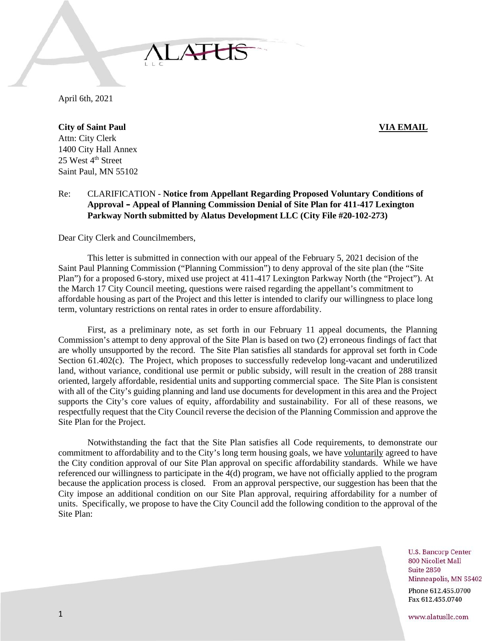April 6th, 2021

**City of Saint Paul VIA EMAIL** Attn: City Clerk 1400 City Hall Annex 25 West 4<sup>th</sup> Street Saint Paul, MN 55102

Re: CLARIFICATION - **Notice from Appellant Regarding Proposed Voluntary Conditions of Approval – Appeal of Planning Commission Denial of Site Plan for 411-417 Lexington Parkway North submitted by Alatus Development LLC (City File #20-102-273)**

Dear City Clerk and Councilmembers,

This letter is submitted in connection with our appeal of the February 5, 2021 decision of the Saint Paul Planning Commission ("Planning Commission") to deny approval of the site plan (the "Site Plan") for a proposed 6-story, mixed use project at 411-417 Lexington Parkway North (the "Project"). At the March 17 City Council meeting, questions were raised regarding the appellant's commitment to affordable housing as part of the Project and this letter is intended to clarify our willingness to place long term, voluntary restrictions on rental rates in order to ensure affordability.

First, as a preliminary note, as set forth in our February 11 appeal documents, the Planning Commission's attempt to deny approval of the Site Plan is based on two (2) erroneous findings of fact that are wholly unsupported by the record. The Site Plan satisfies all standards for approval set forth in Code Section 61.402(c). The Project, which proposes to successfully redevelop long-vacant and underutilized land, without variance, conditional use permit or public subsidy, will result in the creation of 288 transit oriented, largely affordable, residential units and supporting commercial space. The Site Plan is consistent with all of the City's guiding planning and land use documents for development in this area and the Project supports the City's core values of equity, affordability and sustainability. For all of these reasons, we respectfully request that the City Council reverse the decision of the Planning Commission and approve the Site Plan for the Project.

Notwithstanding the fact that the Site Plan satisfies all Code requirements, to demonstrate our commitment to affordability and to the City's long term housing goals, we have voluntarily agreed to have the City condition approval of our Site Plan approval on specific affordability standards. While we have referenced our willingness to participate in the 4(d) program, we have not officially applied to the program because the application process is closed. From an approval perspective, our suggestion has been that the City impose an additional condition on our Site Plan approval, requiring affordability for a number of units. Specifically, we propose to have the City Council add the following condition to the approval of the Site Plan:

> **U.S. Bancorp Center** 800 Nicollet Mall **Suite 2850** Minneapolis, MN 55402 Phone 612.455.0700 Fax 612.455.0740

www.alatusllc.com